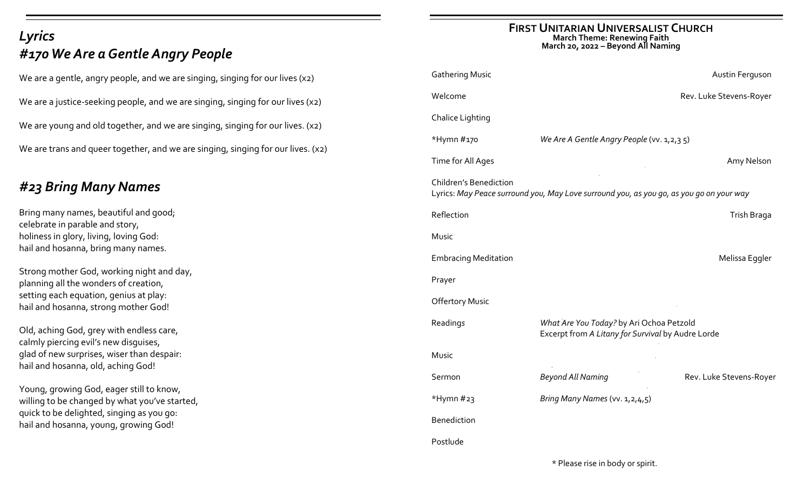# *Lyrics #170 We Are a Gentle Angry People*

We are a gentle, angry people, and we are singing, singing for our lives (x2) We are a justice-seeking people, and we are singing, singing for our lives (x2) We are young and old together, and we are singing, singing for our lives. (x2) We are trans and queer together, and we are singing, singing for our lives. (x2)

# *#23 Bring Many Names*

Bring many names, beautiful and good; celebrate in parable and story, holiness in glory, living, loving God: hail and hosanna, bring many names.

Strong mother God, working night and day, planning all the wonders of creation, setting each equation, genius at play: hail and hosanna, strong mother God!

Old, aching God, grey with endless care, calmly piercing evil's new disguises, glad of new surprises, wiser than despair: hail and hosanna, old, aching God!

Young, growing God, eager still to know, willing to be changed by what you've started, quick to be delighted, singing as you go: hail and hosanna, young, growing God!

## **FIRST UNITARIAN UNIVERSALIST CHURCH March Theme: Renewing Faith March 20, 2022 – Beyond All Naming**

| <b>Gathering Music</b>                                                                                                   |                                                                                               | Austin Ferguson         |  |
|--------------------------------------------------------------------------------------------------------------------------|-----------------------------------------------------------------------------------------------|-------------------------|--|
| Welcome                                                                                                                  |                                                                                               | Rev. Luke Stevens-Royer |  |
| <b>Chalice Lighting</b>                                                                                                  |                                                                                               |                         |  |
| *Hymn #170                                                                                                               | We Are A Gentle Angry People (vv. 1,2,35)                                                     |                         |  |
| Time for All Ages                                                                                                        |                                                                                               | Amy Nelson              |  |
| <b>Children's Benediction</b><br>Lyrics: May Peace surround you, May Love surround you, as you go, as you go on your way |                                                                                               |                         |  |
| Reflection                                                                                                               |                                                                                               | Trish Braga             |  |
| Music                                                                                                                    |                                                                                               |                         |  |
| <b>Embracing Meditation</b>                                                                                              |                                                                                               | Melissa Eggler          |  |
| Prayer                                                                                                                   |                                                                                               |                         |  |
| <b>Offertory Music</b>                                                                                                   |                                                                                               |                         |  |
| Readings                                                                                                                 | What Are You Today? by Ari Ochoa Petzold<br>Excerpt from A Litany for Survival by Audre Lorde |                         |  |
| Music                                                                                                                    |                                                                                               |                         |  |
| Sermon                                                                                                                   | <b>Beyond All Naming</b>                                                                      | Rev. Luke Stevens-Royer |  |
| *Hymn #23                                                                                                                | Bring Many Names (vv. 1, 2, 4, 5)                                                             |                         |  |
| <b>Benediction</b>                                                                                                       |                                                                                               |                         |  |
| Postlude                                                                                                                 |                                                                                               |                         |  |